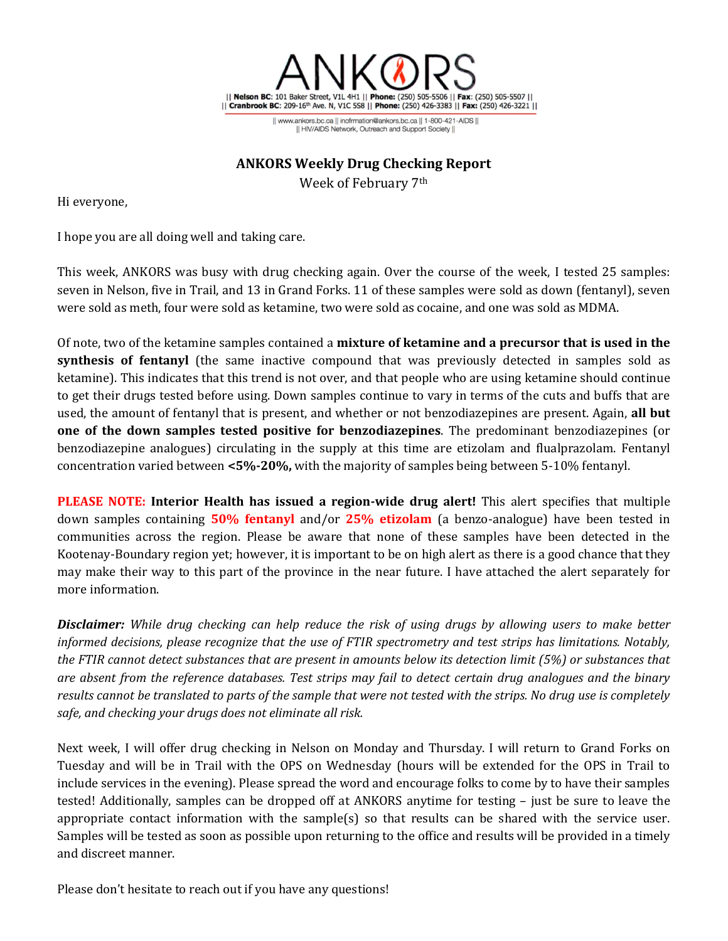

|| www.ankors.bc.ca || inofrmation@ankors.bc.ca || 1-800-421-AIDS || Il HIV/AIDS Network, Outreach and Support Society II

## **ANKORS Weekly Drug Checking Report**

Week of February 7th

Hi everyone,

I hope you are all doing well and taking care.

This week, ANKORS was busy with drug checking again. Over the course of the week, I tested 25 samples: seven in Nelson, five in Trail, and 13 in Grand Forks. 11 of these samples were sold as down (fentanyl), seven were sold as meth, four were sold as ketamine, two were sold as cocaine, and one was sold as MDMA.

Of note, two of the ketamine samples contained a **mixture of ketamine and a precursor that is used in the synthesis of fentanyl** (the same inactive compound that was previously detected in samples sold as ketamine). This indicates that this trend is not over, and that people who are using ketamine should continue to get their drugs tested before using. Down samples continue to vary in terms of the cuts and buffs that are used, the amount of fentanyl that is present, and whether or not benzodiazepines are present. Again, **all but one of the down samples tested positive for benzodiazepines**. The predominant benzodiazepines (or benzodiazepine analogues) circulating in the supply at this time are etizolam and flualprazolam. Fentanyl concentration varied between **<5%-20%,** with the majority of samples being between 5-10% fentanyl.

**PLEASE NOTE: Interior Health has issued a region-wide drug alert!** This alert specifies that multiple down samples containing **50% fentanyl** and/or **25% etizolam** (a benzo-analogue) have been tested in communities across the region. Please be aware that none of these samples have been detected in the Kootenay-Boundary region yet; however, it is important to be on high alert as there is a good chance that they may make their way to this part of the province in the near future. I have attached the alert separately for more information.

*Disclaimer: While drug checking can help reduce the risk of using drugs by allowing users to make better informed decisions, please recognize that the use of FTIR spectrometry and test strips has limitations. Notably, the FTIR cannot detect substances that are present in amounts below its detection limit (5%) or substances that are absent from the reference databases. Test strips may fail to detect certain drug analogues and the binary results cannot be translated to parts of the sample that were not tested with the strips. No drug use is completely safe, and checking your drugs does not eliminate all risk.*

Next week, I will offer drug checking in Nelson on Monday and Thursday. I will return to Grand Forks on Tuesday and will be in Trail with the OPS on Wednesday (hours will be extended for the OPS in Trail to include services in the evening). Please spread the word and encourage folks to come by to have their samples tested! Additionally, samples can be dropped off at ANKORS anytime for testing – just be sure to leave the appropriate contact information with the sample(s) so that results can be shared with the service user. Samples will be tested as soon as possible upon returning to the office and results will be provided in a timely and discreet manner.

Please don't hesitate to reach out if you have any questions!